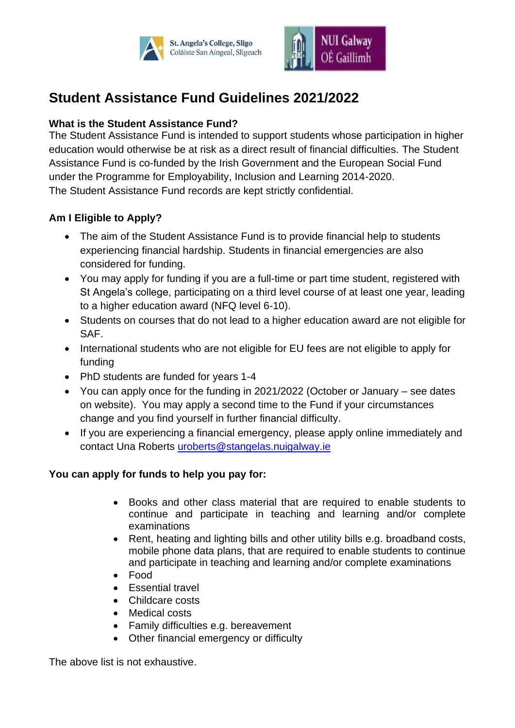



# **Student Assistance Fund Guidelines 2021/2022**

# **What is the Student Assistance Fund?**

The Student Assistance Fund is intended to support students whose participation in higher education would otherwise be at risk as a direct result of financial difficulties. The Student Assistance Fund is co-funded by the Irish Government and the European Social Fund under the Programme for Employability, Inclusion and Learning 2014-2020. The Student Assistance Fund records are kept strictly confidential.

### **Am I Eligible to Apply?**

- The aim of the Student Assistance Fund is to provide financial help to students experiencing financial hardship. Students in financial emergencies are also considered for funding.
- You may apply for funding if you are a full-time or part time student, registered with St Angela's college, participating on a third level course of at least one year, leading to a higher education award (NFQ level 6-10).
- Students on courses that do not lead to a higher education award are not eligible for SAF.
- International students who are not eligible for EU fees are not eligible to apply for funding
- PhD students are funded for years 1-4
- You can apply once for the funding in 2021/2022 (October or January see dates on website). You may apply a second time to the Fund if your circumstances change and you find yourself in further financial difficulty.
- If you are experiencing a financial emergency, please apply online immediately and contact Una Roberts [uroberts@stangelas.nuigalway.ie](mailto:uroberts@stangelas.nuigalway.ie)

#### **You can apply for funds to help you pay for:**

- Books and other class material that are required to enable students to continue and participate in teaching and learning and/or complete examinations
- Rent, heating and lighting bills and other utility bills e.g. broadband costs, mobile phone data plans, that are required to enable students to continue and participate in teaching and learning and/or complete examinations
- Food
- Essential travel
- Childcare costs
- Medical costs
- Family difficulties e.g. bereavement
- Other financial emergency or difficulty

The above list is not exhaustive.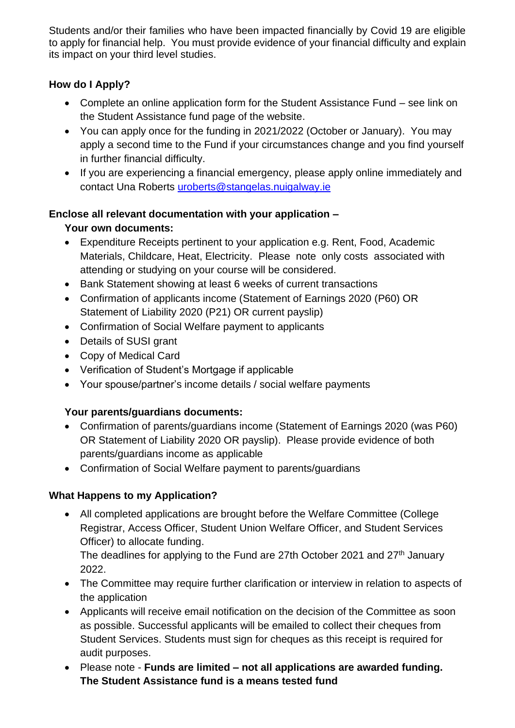Students and/or their families who have been impacted financially by Covid 19 are eligible to apply for financial help. You must provide evidence of your financial difficulty and explain its impact on your third level studies.

# **How do I Apply?**

- Complete an online application form for the Student Assistance Fund see link on the Student Assistance fund page of the website.
- You can apply once for the funding in 2021/2022 (October or January). You may apply a second time to the Fund if your circumstances change and you find yourself in further financial difficulty.
- If you are experiencing a financial emergency, please apply online immediately and contact Una Roberts [uroberts@stangelas.nuigalway.ie](mailto:uroberts@stangelas.nuigalway.ie)

### **Enclose all relevant documentation with your application –**

# **Your own documents:**

- Expenditure Receipts pertinent to your application e.g. Rent, Food, Academic Materials, Childcare, Heat, Electricity. Please note only costs associated with attending or studying on your course will be considered.
- Bank Statement showing at least 6 weeks of current transactions
- Confirmation of applicants income (Statement of Earnings 2020 (P60) OR Statement of Liability 2020 (P21) OR current payslip)
- Confirmation of Social Welfare payment to applicants
- Details of SUSI grant
- Copy of Medical Card
- Verification of Student's Mortgage if applicable
- Your spouse/partner's income details / social welfare payments

# **Your parents/guardians documents:**

- Confirmation of parents/guardians income (Statement of Earnings 2020 (was P60) OR Statement of Liability 2020 OR payslip). Please provide evidence of both parents/guardians income as applicable
- Confirmation of Social Welfare payment to parents/guardians

# **What Happens to my Application?**

• All completed applications are brought before the Welfare Committee (College Registrar, Access Officer, Student Union Welfare Officer, and Student Services Officer) to allocate funding.

The deadlines for applying to the Fund are 27th October 2021 and 27<sup>th</sup> January 2022.

- The Committee may require further clarification or interview in relation to aspects of the application
- Applicants will receive email notification on the decision of the Committee as soon as possible. Successful applicants will be emailed to collect their cheques from Student Services. Students must sign for cheques as this receipt is required for audit purposes.
- Please note **Funds are limited – not all applications are awarded funding. The Student Assistance fund is a means tested fund**